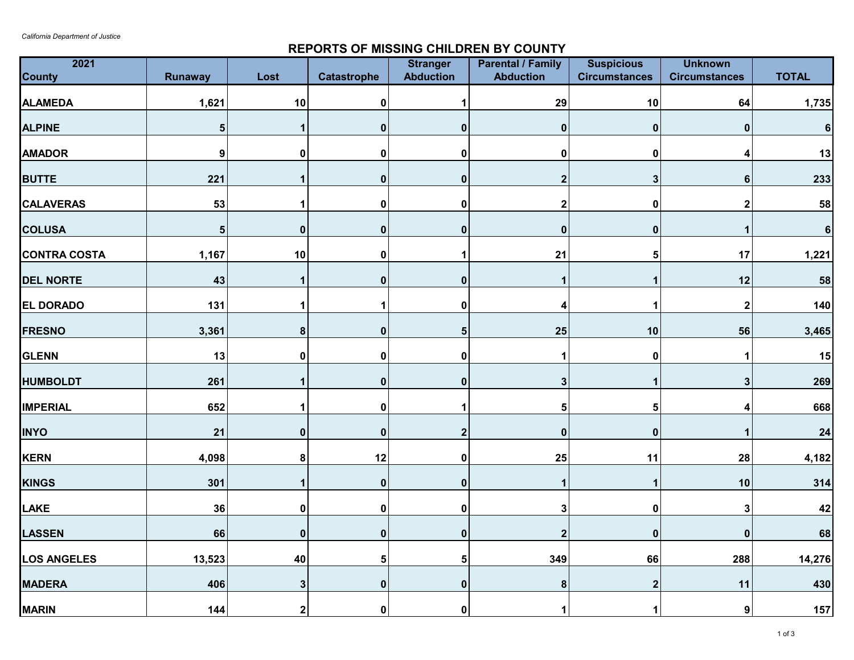## **REPORTS OF MISSING CHILDREN BY COUNTY**

| 2021<br><b>County</b> | Runaway          | Lost         | <b>Catastrophe</b> | <b>Stranger</b><br><b>Abduction</b> | <b>Parental / Family</b><br><b>Abduction</b> | <b>Suspicious</b><br><b>Circumstances</b> | <b>Unknown</b><br><b>Circumstances</b> | <b>TOTAL</b> |
|-----------------------|------------------|--------------|--------------------|-------------------------------------|----------------------------------------------|-------------------------------------------|----------------------------------------|--------------|
| <b>ALAMEDA</b>        | 1,621            | 10           | $\pmb{0}$          |                                     | 29                                           | $10$                                      | 64                                     | 1,735        |
| <b>ALPINE</b>         | ${\bf 5}$        | 1            | $\pmb{0}$          | $\mathbf{0}$                        | 0                                            | $\pmb{0}$                                 | 0                                      | $\bf 6$      |
| <b>AMADOR</b>         | $\boldsymbol{9}$ | $\mathbf{0}$ | 0                  | 0                                   | $\mathbf{0}$                                 | $\mathbf 0$                               |                                        | 13           |
| <b>BUTTE</b>          | 221              | 1            | 0                  | $\bf{0}$                            | $\mathbf 2$                                  | $\mathbf{3}$                              | 6                                      | 233          |
| <b>CALAVERAS</b>      | 53               | 1            | $\pmb{0}$          | 0                                   | $\overline{\mathbf{2}}$                      | $\pmb{0}$                                 | 2                                      | 58           |
| <b>COLUSA</b>         | 5                | $\mathbf{0}$ | $\mathbf 0$        | $\bf{0}$                            | 0                                            | $\mathbf 0$                               |                                        | $\bf 6$      |
| <b>CONTRA COSTA</b>   | 1,167            | 10           | $\pmb{0}$          | 1                                   | 21                                           | ${\bf 5}$                                 | 17                                     | 1,221        |
| <b>DEL NORTE</b>      | 43               | 1            | $\pmb{0}$          | $\mathbf{0}$                        | 1                                            | 1                                         | 12                                     | 58           |
| EL DORADO             | 131              | 1            |                    | 0                                   | 4                                            | 1                                         | $\mathbf{2}$                           | 140          |
| <b>FRESNO</b>         | 3,361            | $\pmb{8}$    | $\pmb{0}$          | 5                                   | 25                                           | $10$                                      | 56                                     | 3,465        |
| <b>GLENN</b>          | 13               | 0            | $\mathbf 0$        | 0                                   | 1                                            | $\pmb{0}$                                 |                                        | 15           |
| <b>HUMBOLDT</b>       | 261              | 1            | $\mathbf 0$        | $\mathbf 0$                         | 3                                            | $\mathbf{1}$                              | 3                                      | 269          |
| <b>IMPERIAL</b>       | 652              |              | 0                  |                                     | 5                                            | ${\bf 5}$                                 |                                        | 668          |
| <b>INYO</b>           | 21               | $\mathbf 0$  | 0                  | $\overline{2}$                      | 0                                            | $\pmb{0}$                                 |                                        | 24           |
| <b>KERN</b>           | 4,098            | ${\bf 8}$    | 12                 | 0                                   | 25                                           | 11                                        | 28                                     | 4,182        |
| <b>KINGS</b>          | 301              | 1            | $\mathbf 0$        | $\mathbf{0}$                        |                                              | $\mathbf 1$                               | 10                                     | 314          |
| LAKE                  | 36               | 0            | $\pmb{0}$          | 0                                   | 3                                            | $\pmb{0}$                                 | 3                                      | 42           |
| <b>LASSEN</b>         | 66               | $\pmb{0}$    | $\mathbf 0$        | $\bf{0}$                            | $\overline{\mathbf{2}}$                      | $\mathbf 0$                               | $\bf{0}$                               | 68           |
| <b>LOS ANGELES</b>    | 13,523           | 40           | 5                  | 5                                   | 349                                          | 66                                        | 288                                    | 14,276       |
| <b>MADERA</b>         | 406              | $\mathbf{3}$ | $\mathbf 0$        | $\bf{0}$                            | 8                                            | $\boldsymbol{2}$                          | 11                                     | 430          |
| <b>MARIN</b>          | 144              | 2            | $\mathbf 0$        | 0                                   | 1                                            | 1                                         | 9                                      | 157          |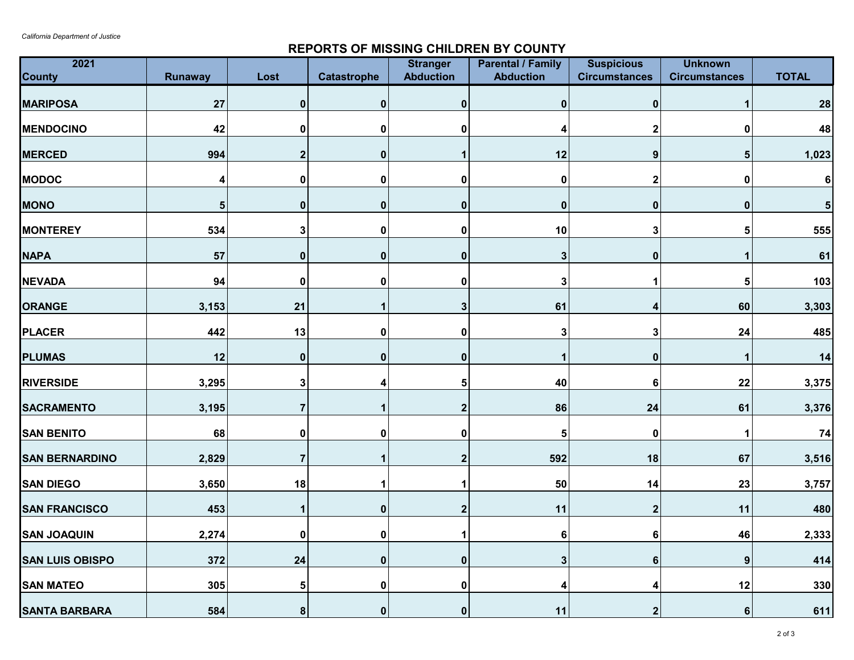## **REPORTS OF MISSING CHILDREN BY COUNTY**

| 2021<br><b>County</b>  |                | Lost                    |                    | <b>Stranger</b><br><b>Abduction</b> | <b>Parental / Family</b><br><b>Abduction</b> | <b>Suspicious</b><br><b>Circumstances</b> | <b>Unknown</b><br><b>Circumstances</b> | <b>TOTAL</b>   |
|------------------------|----------------|-------------------------|--------------------|-------------------------------------|----------------------------------------------|-------------------------------------------|----------------------------------------|----------------|
|                        | <b>Runaway</b> |                         | <b>Catastrophe</b> |                                     |                                              |                                           |                                        |                |
| <b>MARIPOSA</b>        | 27             | 0                       | $\mathbf 0$        | 0                                   | 0                                            | $\mathbf 0$                               |                                        | 28             |
| <b>MENDOCINO</b>       | 42             | 0                       | 0                  | O                                   | 4                                            | $\mathbf{2}$                              | 0                                      | 48             |
| <b>MERCED</b>          | 994            | $\mathbf 2$             | $\mathbf{0}$       |                                     | 12                                           | $\boldsymbol{9}$                          | 5                                      | 1,023          |
| <b>MODOC</b>           | 4              | 0                       | 0                  | 0                                   | 0                                            | $\mathbf{2}$                              | 0                                      | $6\phantom{a}$ |
| <b>MONO</b>            | 5              | 0                       | $\mathbf 0$        | $\bf{0}$                            | 0                                            | $\pmb{0}$                                 | $\mathbf 0$                            | $\sqrt{5}$     |
| <b>MONTEREY</b>        | 534            | 3                       | 0                  | 0                                   | 10                                           | 3                                         | 5                                      | 555            |
| <b>NAPA</b>            | 57             | 0                       | $\mathbf 0$        | $\mathbf 0$                         | 3                                            | $\pmb{0}$                                 | 1                                      | 61             |
| <b>NEVADA</b>          | 94             | 0                       | 0                  | 0                                   | 3                                            | 1                                         | 5                                      | 103            |
| ORANGE                 | 3,153          | 21                      |                    |                                     | 61                                           | 4                                         | 60                                     | 3,303          |
| <b>PLACER</b>          | 442            | 13                      | $\pmb{0}$          | $\mathbf 0$                         | 3                                            | $\mathbf 3$                               | 24                                     | 485            |
| <b>PLUMAS</b>          | 12             | 0                       | $\mathbf 0$        | $\bf{0}$                            | 1                                            | $\mathbf 0$                               |                                        | 14             |
| <b>RIVERSIDE</b>       | 3,295          | 3                       | 4                  | 5                                   | 40                                           | 6                                         | 22                                     | 3,375          |
| <b>SACRAMENTO</b>      | 3,195          | $\overline{7}$          |                    |                                     | 86                                           | 24                                        | 61                                     | 3,376          |
| <b>SAN BENITO</b>      | 68             | 0                       | 0                  | 0                                   | 5                                            | $\mathbf 0$                               | 1                                      | 74             |
| <b>SAN BERNARDINO</b>  | 2,829          | $\overline{\mathbf{7}}$ |                    | $\mathbf 2$                         | 592                                          | 18                                        | 67                                     | 3,516          |
| <b>SAN DIEGO</b>       | 3,650          | 18                      |                    |                                     | 50                                           | 14                                        | 23                                     | 3,757          |
| <b>SAN FRANCISCO</b>   | 453            | 1                       | $\mathbf 0$        | $\mathbf{2}$                        | 11                                           | $\mathbf{2}$                              | 11                                     | 480            |
| <b>SAN JOAQUIN</b>     | 2,274          | 0                       | 0                  |                                     | 6                                            | 6                                         | 46                                     | 2,333          |
| <b>SAN LUIS OBISPO</b> | 372            | 24                      | $\mathbf 0$        | ŋ                                   | 3                                            | 6                                         | 9                                      | 414            |
| <b>SAN MATEO</b>       | 305            | 5                       | $\mathbf 0$        | O                                   | 4                                            | 4                                         | 12                                     | 330            |
| <b>SANTA BARBARA</b>   | 584            | 8 <sup>1</sup>          | $\mathbf{0}$       | $\mathbf 0$                         | 11                                           | $\boldsymbol{2}$                          | $6 \mid$                               | 611            |